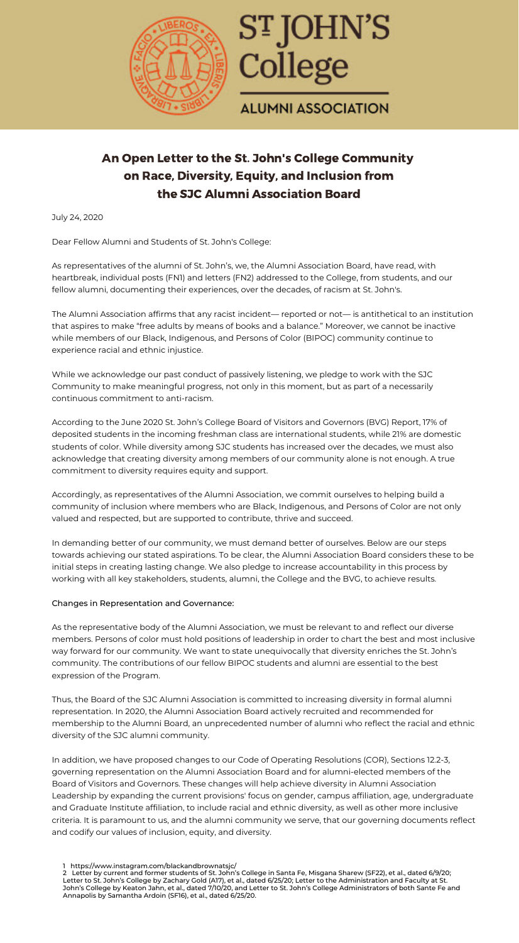



## **ALUMNI ASSOCIATION**

 Dear Fellow Alumni and Students of St. John's College: **Let the contract center** 

July 24, 2020

# An Open Letter to the St. John's College Community on Race, Diversity, Equity, and Inclusion from the SJC Alumni Association Board

As representatives of the alumni of St. John s, we, the Alumni Association Board, have read, with<br>heartbreak, individual posts (FN1) and letters (FN2) addressed to the College, from students, and our fellow alumni, documenting their experiences, over the decades, of racism at St. John's. As representatives of the alumni of St. John's, we, the Alumni Association Board, have read, with

 The Alumni Association affirms that any racist incident— reported or not— is antithetical to an institution that aspires to make "free adults by means of books and a balance." Moreover, we cannot be inactive while members of our Black, Indigenous, and Persons of Color (BIPOC) community continue to experience racial and ethnic injustice.

 While we acknowledge our past conduct of passively listening, we pledge to work with the SJC Community to make meaningful progress, not only in this moment, but as part of a necessarily continuous commitment to anti-racism.

 According to the June 2020 St. John's College Board of Visitors and Governors (BVG) Report, 17% of deposited students in the incoming freshman class are international students, while 21% are domestic students of color. While diversity among SJC students has increased over the decades, we must also acknowledge that creating diversity among members of our community alone is not enough. A true commitment to diversity requires equity and support.

 Accordingly, as representatives of the Alumni Association, we commit ourselves to helping build a community of inclusion where members who are Black, Indigenous, and Persons of Color are not only valued and respected, but are supported to contribute, thrive and succeed.

 In demanding better of our community, we must demand better of ourselves. Below are our steps towards achieving our stated aspirations. To be clear, the Alumni Association Board considers these to be initial steps in creating lasting change. We also pledge to increase accountability in this process by working with all key stakeholders, students, alumni, the College and the BVG, to achieve results.

#### Changes in Representation and Governance:

 As the representative body of the Alumni Association, we must be relevant to and reflect our diverse members. Persons of color must hold positions of leadership in order to chart the best and most inclusive way forward for our community. We want to state unequivocally that diversity enriches the St. John's community. The contributions of our fellow BIPOC students and alumni are essential to the best expression of the Program.

 Thus, the Board of the SJC Alumni Association is committed to increasing diversity in formal alumni representation. In 2020, the Alumni Association Board actively recruited and recommended for membership to the Alumni Board, an unprecedented number of alumni who reflect the racial and ethnic diversity of the SJC alumni community.

 In addition, we have proposed changes to our Code of Operating Resolutions (COR), Sections 12.2-3, governing representation on the Alumni Association Board and for alumni-elected members of the Board of Visitors and Governors. These changes will help achieve diversity in Alumni Association Leadership by expanding the current provisions' focus on gender, campus affiliation, age, undergraduate and Graduate Institute affiliation, to include racial and ethnic diversity, as well as other more inclusive criteria. It is paramount to us, and the alumni community we serve, that our governing documents reflect and codify our values of inclusion, equity, and diversity.

<sup>1</sup> [https://www.instagram.com/blackandbrownatsjc/](https://www.instagram.com/blackandbrownatsjc)

<sup>2</sup> Letter by current and former students of St. John's College in Santa Fe, Misgana Sharew (SF22), et al., dated 6/9/20; Letter to St. John's College by Zachary Gold (A17), et al., dated 6/25/20; Letter to the Administration and Faculty at St. John's College by Keaton Jahn, et al., dated 7/10/20, and Letter to St. John's College Administrators of both Sante Fe and Annapolis by Samantha Ardoin (SF16), et al., dated 6/25/20.